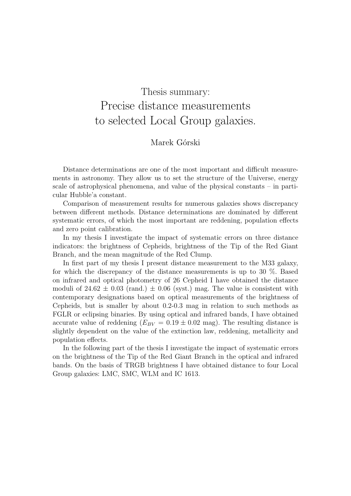## Thesis summary: Precise distance measurements to selected Local Group galaxies.

## Marek Górski

Distance determinations are one of the most important and difficult measurements in astronomy. They allow us to set the structure of the Universe, energy scale of astrophysical phenomena, and value of the physical constants – in particular Hubble'a constant.

Comparison of measurement results for numerous galaxies shows discrepancy between different methods. Distance determinations are dominated by different systematic errors, of which the most important are reddening, population effects and zero point calibration.

In my thesis I investigate the impact of systematic errors on three distance indicators: the brightness of Cepheids, brightness of the Tip of the Red Giant Branch, and the mean magnitude of the Red Clump.

In first part of my thesis I present distance measurement to the M33 galaxy, for which the discrepancy of the distance measurements is up to 30 %. Based on infrared and optical photometry of 26 Cepheid I have obtained the distance moduli of  $24.62 \pm 0.03$  (rand.)  $\pm 0.06$  (syst.) mag. The value is consistent with contemporary designations based on optical measurements of the brightness of Cepheids, but is smaller by about 0.2-0.3 mag in relation to such methods as FGLR or eclipsing binaries. By using optical and infrared bands, I have obtained accurate value of reddening  $(E_{BV} = 0.19 \pm 0.02$  mag). The resulting distance is slightly dependent on the value of the extinction law, reddening, metallicity and population effects.

In the following part of the thesis I investigate the impact of systematic errors on the brightness of the Tip of the Red Giant Branch in the optical and infrared bands. On the basis of TRGB brightness I have obtained distance to four Local Group galaxies: LMC, SMC, WLM and IC 1613.